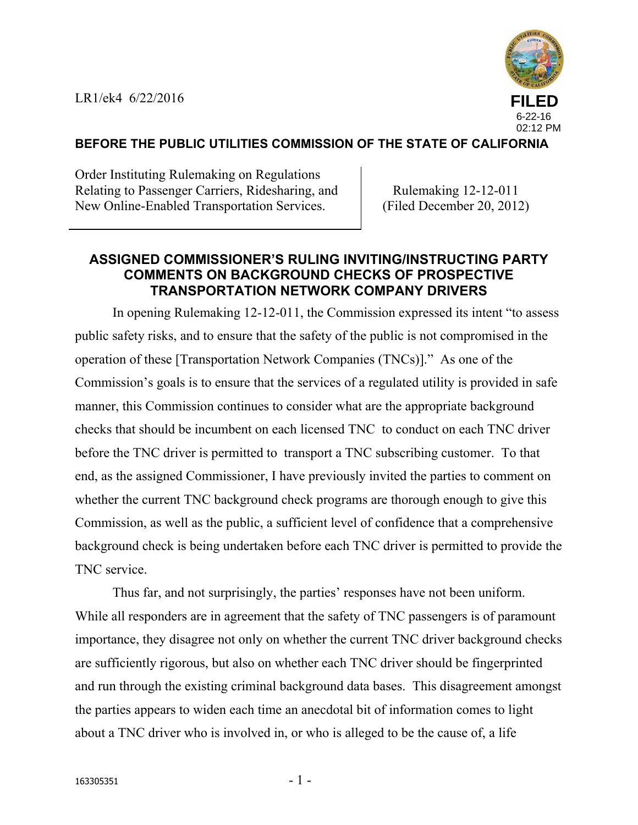

### **BEFORE THE PUBLIC UTILITIES COMMISSION OF THE STATE OF CALIFORNIA**

Order Instituting Rulemaking on Regulations Relating to Passenger Carriers, Ridesharing, and New Online-Enabled Transportation Services.

Rulemaking 12-12-011 (Filed December 20, 2012)

# **ASSIGNED COMMISSIONER'S RULING INVITING/INSTRUCTING PARTY COMMENTS ON BACKGROUND CHECKS OF PROSPECTIVE TRANSPORTATION NETWORK COMPANY DRIVERS**

In opening Rulemaking 12-12-011, the Commission expressed its intent "to assess public safety risks, and to ensure that the safety of the public is not compromised in the operation of these [Transportation Network Companies (TNCs)]." As one of the Commission's goals is to ensure that the services of a regulated utility is provided in safe manner, this Commission continues to consider what are the appropriate background checks that should be incumbent on each licensed TNC to conduct on each TNC driver before the TNC driver is permitted to transport a TNC subscribing customer. To that end, as the assigned Commissioner, I have previously invited the parties to comment on whether the current TNC background check programs are thorough enough to give this Commission, as well as the public, a sufficient level of confidence that a comprehensive background check is being undertaken before each TNC driver is permitted to provide the TNC service.

Thus far, and not surprisingly, the parties' responses have not been uniform. While all responders are in agreement that the safety of TNC passengers is of paramount importance, they disagree not only on whether the current TNC driver background checks are sufficiently rigorous, but also on whether each TNC driver should be fingerprinted and run through the existing criminal background data bases. This disagreement amongst the parties appears to widen each time an anecdotal bit of information comes to light about a TNC driver who is involved in, or who is alleged to be the cause of, a life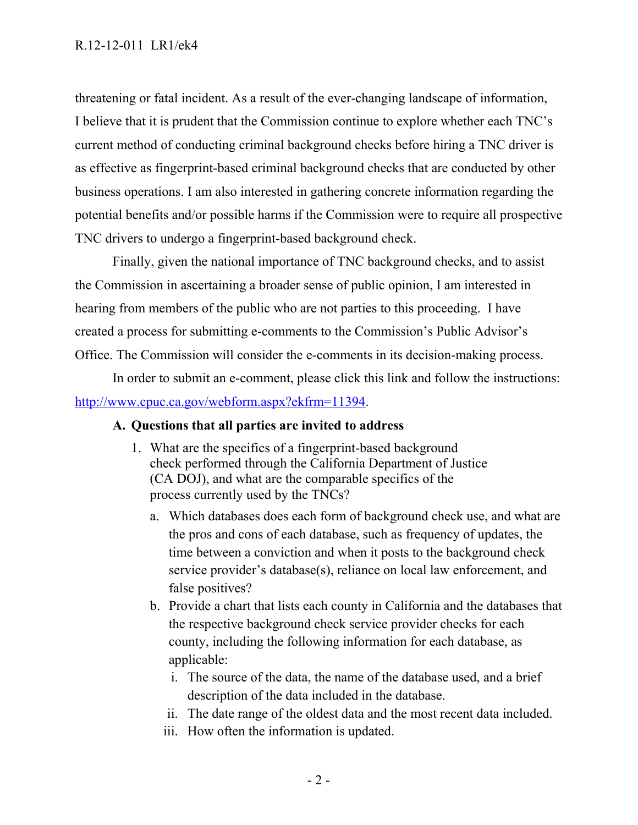threatening or fatal incident. As a result of the ever-changing landscape of information, I believe that it is prudent that the Commission continue to explore whether each TNC's current method of conducting criminal background checks before hiring a TNC driver is as effective as fingerprint-based criminal background checks that are conducted by other business operations. I am also interested in gathering concrete information regarding the potential benefits and/or possible harms if the Commission were to require all prospective TNC drivers to undergo a fingerprint-based background check.

Finally, given the national importance of TNC background checks, and to assist the Commission in ascertaining a broader sense of public opinion, I am interested in hearing from members of the public who are not parties to this proceeding. I have created a process for submitting e-comments to the Commission's Public Advisor's Office. The Commission will consider the e-comments in its decision-making process.

In order to submit an e-comment, please click this link and follow the instructions: http://www.cpuc.ca.gov/webform.aspx?ekfrm=11394.

# **A. Questions that all parties are invited to address**

- 1. What are the specifics of a fingerprint-based background check performed through the California Department of Justice (CA DOJ), and what are the comparable specifics of the process currently used by the TNCs?
	- a. Which databases does each form of background check use, and what are the pros and cons of each database, such as frequency of updates, the time between a conviction and when it posts to the background check service provider's database(s), reliance on local law enforcement, and false positives?
	- b. Provide a chart that lists each county in California and the databases that the respective background check service provider checks for each county, including the following information for each database, as applicable:
		- i. The source of the data, the name of the database used, and a brief description of the data included in the database.
		- ii. The date range of the oldest data and the most recent data included.
		- iii. How often the information is updated.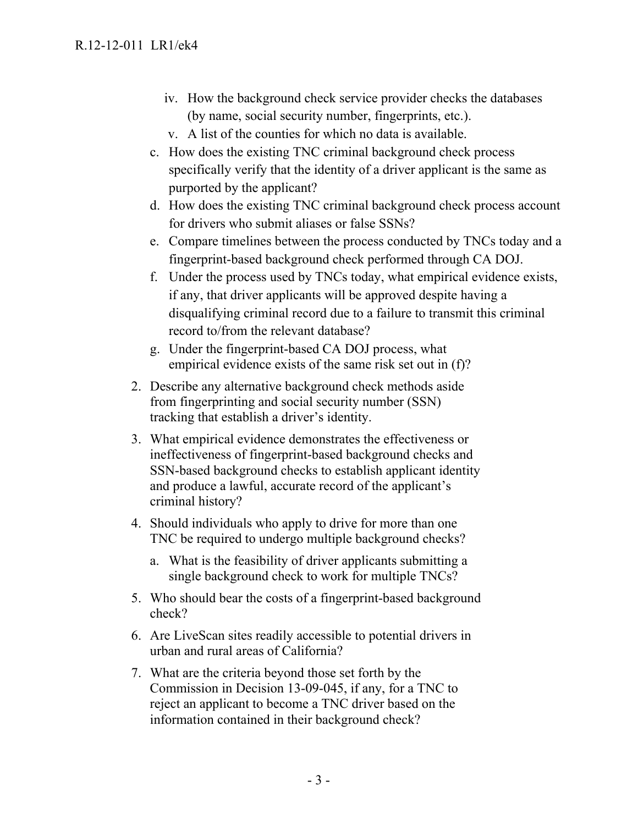- iv. How the background check service provider checks the databases (by name, social security number, fingerprints, etc.).
- v. A list of the counties for which no data is available.
- c. How does the existing TNC criminal background check process specifically verify that the identity of a driver applicant is the same as purported by the applicant?
- d. How does the existing TNC criminal background check process account for drivers who submit aliases or false SSNs?
- e. Compare timelines between the process conducted by TNCs today and a fingerprint-based background check performed through CA DOJ.
- f. Under the process used by TNCs today, what empirical evidence exists, if any, that driver applicants will be approved despite having a disqualifying criminal record due to a failure to transmit this criminal record to/from the relevant database?
- g. Under the fingerprint-based CA DOJ process, what empirical evidence exists of the same risk set out in (f)?
- 2. Describe any alternative background check methods aside from fingerprinting and social security number (SSN) tracking that establish a driver's identity.
- 3. What empirical evidence demonstrates the effectiveness or ineffectiveness of fingerprint-based background checks and SSN-based background checks to establish applicant identity and produce a lawful, accurate record of the applicant's criminal history?
- 4. Should individuals who apply to drive for more than one TNC be required to undergo multiple background checks?
	- a. What is the feasibility of driver applicants submitting a single background check to work for multiple TNCs?
- 5. Who should bear the costs of a fingerprint-based background check?
- 6. Are LiveScan sites readily accessible to potential drivers in urban and rural areas of California?
- 7. What are the criteria beyond those set forth by the Commission in Decision 13-09-045, if any, for a TNC to reject an applicant to become a TNC driver based on the information contained in their background check?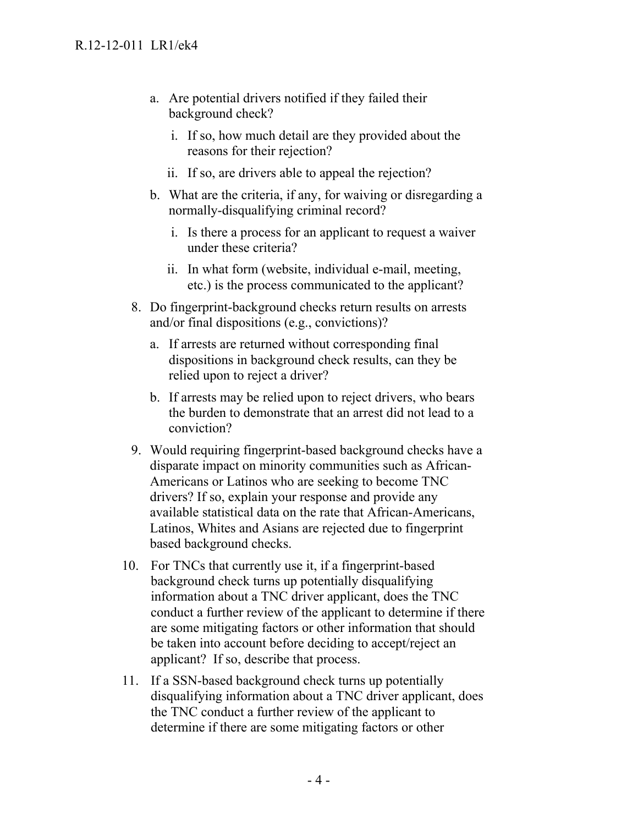- a. Are potential drivers notified if they failed their background check?
	- i. If so, how much detail are they provided about the reasons for their rejection?
	- ii. If so, are drivers able to appeal the rejection?
- b. What are the criteria, if any, for waiving or disregarding a normally-disqualifying criminal record?
	- i. Is there a process for an applicant to request a waiver under these criteria?
	- ii. In what form (website, individual e-mail, meeting, etc.) is the process communicated to the applicant?
- 8. Do fingerprint-background checks return results on arrests and/or final dispositions (e.g., convictions)?
	- a. If arrests are returned without corresponding final dispositions in background check results, can they be relied upon to reject a driver?
	- b. If arrests may be relied upon to reject drivers, who bears the burden to demonstrate that an arrest did not lead to a conviction?
- 9. Would requiring fingerprint-based background checks have a disparate impact on minority communities such as African-Americans or Latinos who are seeking to become TNC drivers? If so, explain your response and provide any available statistical data on the rate that African-Americans, Latinos, Whites and Asians are rejected due to fingerprint based background checks.
- 10. For TNCs that currently use it, if a fingerprint-based background check turns up potentially disqualifying information about a TNC driver applicant, does the TNC conduct a further review of the applicant to determine if there are some mitigating factors or other information that should be taken into account before deciding to accept/reject an applicant? If so, describe that process.
- 11. If a SSN-based background check turns up potentially disqualifying information about a TNC driver applicant, does the TNC conduct a further review of the applicant to determine if there are some mitigating factors or other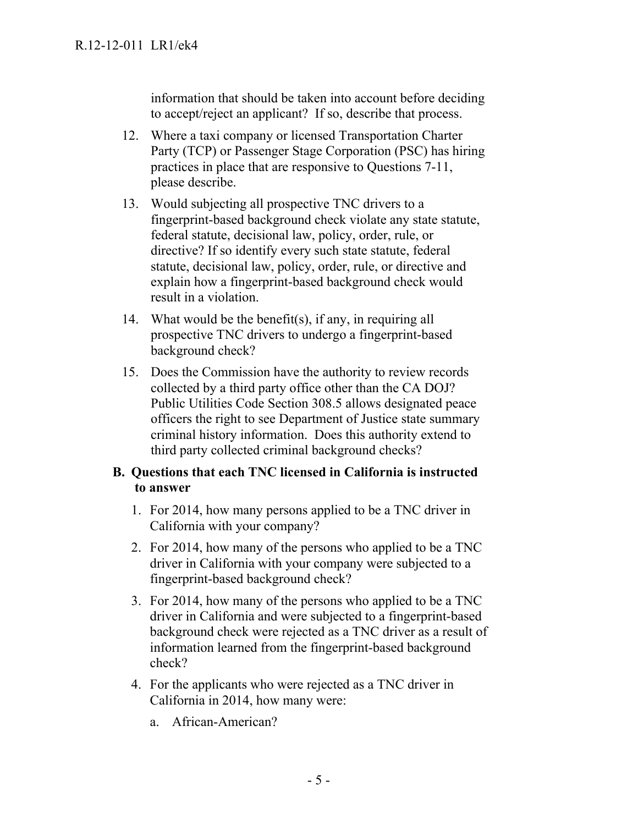information that should be taken into account before deciding to accept/reject an applicant? If so, describe that process.

- 12. Where a taxi company or licensed Transportation Charter Party (TCP) or Passenger Stage Corporation (PSC) has hiring practices in place that are responsive to Questions 7-11, please describe.
- 13. Would subjecting all prospective TNC drivers to a fingerprint-based background check violate any state statute, federal statute, decisional law, policy, order, rule, or directive? If so identify every such state statute, federal statute, decisional law, policy, order, rule, or directive and explain how a fingerprint-based background check would result in a violation.
- 14. What would be the benefit(s), if any, in requiring all prospective TNC drivers to undergo a fingerprint-based background check?
- 15. Does the Commission have the authority to review records collected by a third party office other than the CA DOJ? Public Utilities Code Section 308.5 allows designated peace officers the right to see Department of Justice state summary criminal history information. Does this authority extend to third party collected criminal background checks?

#### **B. Questions that each TNC licensed in California is instructed to answer**

- 1. For 2014, how many persons applied to be a TNC driver in California with your company?
- 2. For 2014, how many of the persons who applied to be a TNC driver in California with your company were subjected to a fingerprint-based background check?
- 3. For 2014, how many of the persons who applied to be a TNC driver in California and were subjected to a fingerprint-based background check were rejected as a TNC driver as a result of information learned from the fingerprint-based background check?
- 4. For the applicants who were rejected as a TNC driver in California in 2014, how many were:
	- a. African-American?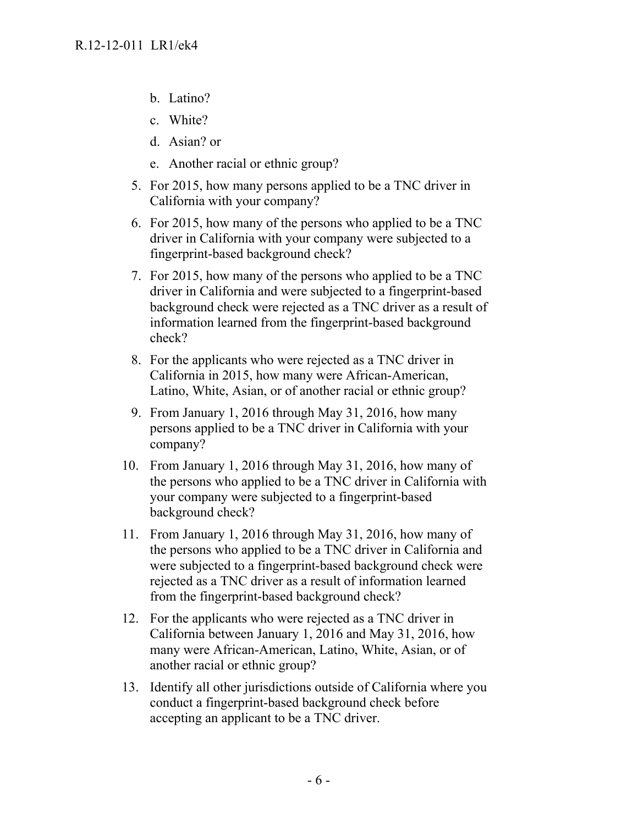- b. Latino?
- c. White?
- d. Asian? or
- e. Another racial or ethnic group?
- 5. For 2015, how many persons applied to be a TNC driver in California with your company?
- 6. For 2015, how many of the persons who applied to be a TNC driver in California with your company were subjected to a fingerprint-based background check?
- 7. For 2015, how many of the persons who applied to be a TNC driver in California and were subjected to a fingerprint-based background check were rejected as a TNC driver as a result of information learned from the fingerprint-based background check?
- 8. For the applicants who were rejected as a TNC driver in California in 2015, how many were African-American, Latino, White, Asian, or of another racial or ethnic group?
- 9. From January 1, 2016 through May 31, 2016, how many persons applied to be a TNC driver in California with your company?
- 10. From January 1, 2016 through May 31, 2016, how many of the persons who applied to be a TNC driver in California with your company were subjected to a fingerprint-based background check?
- 11. From January 1, 2016 through May 31, 2016, how many of the persons who applied to be a TNC driver in California and were subjected to a fingerprint-based background check were rejected as a TNC driver as a result of information learned from the fingerprint-based background check?
- 12. For the applicants who were rejected as a TNC driver in California between January 1, 2016 and May 31, 2016, how many were African-American, Latino, White, Asian, or of another racial or ethnic group?
- 13. Identify all other jurisdictions outside of California where you conduct a fingerprint-based background check before accepting an applicant to be a TNC driver.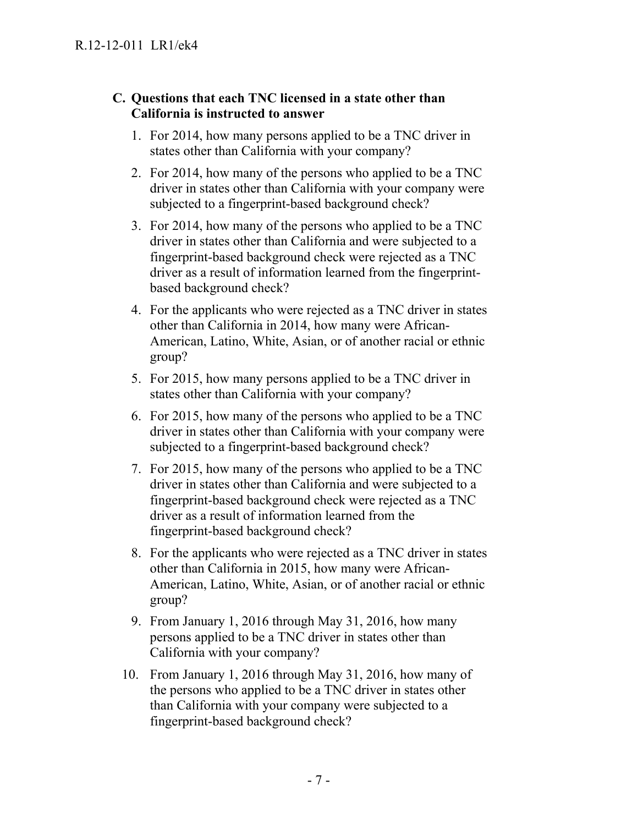# **C. Questions that each TNC licensed in a state other than California is instructed to answer**

- 1. For 2014, how many persons applied to be a TNC driver in states other than California with your company?
- 2. For 2014, how many of the persons who applied to be a TNC driver in states other than California with your company were subjected to a fingerprint-based background check?
- 3. For 2014, how many of the persons who applied to be a TNC driver in states other than California and were subjected to a fingerprint-based background check were rejected as a TNC driver as a result of information learned from the fingerprintbased background check?
- 4. For the applicants who were rejected as a TNC driver in states other than California in 2014, how many were African-American, Latino, White, Asian, or of another racial or ethnic group?
- 5. For 2015, how many persons applied to be a TNC driver in states other than California with your company?
- 6. For 2015, how many of the persons who applied to be a TNC driver in states other than California with your company were subjected to a fingerprint-based background check?
- 7. For 2015, how many of the persons who applied to be a TNC driver in states other than California and were subjected to a fingerprint-based background check were rejected as a TNC driver as a result of information learned from the fingerprint-based background check?
- 8. For the applicants who were rejected as a TNC driver in states other than California in 2015, how many were African-American, Latino, White, Asian, or of another racial or ethnic group?
- 9. From January 1, 2016 through May 31, 2016, how many persons applied to be a TNC driver in states other than California with your company?
- 10. From January 1, 2016 through May 31, 2016, how many of the persons who applied to be a TNC driver in states other than California with your company were subjected to a fingerprint-based background check?